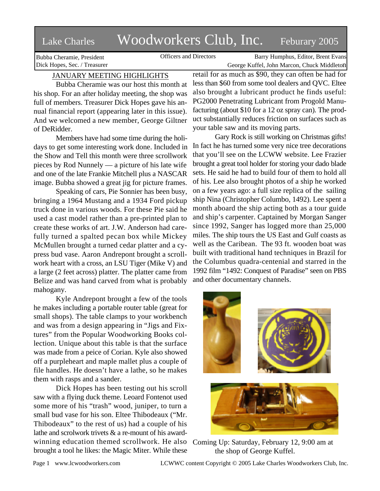# Lake Charles Woodworkers Club, Inc. Feburary 2005

Bubba Cheramie, President Dick Hopes, Sec. / Treasurer

Officers and Directors Barry Humphus, Editor, Brent Evans George Kuffel, John Marcon, Chuck Middleton

# JANUARY MEETING HIGHLIGHTS

Bubba Cheramie was our host this month at his shop. For an after holiday meeting, the shop was full of members. Treasurer Dick Hopes gave his annual financial report (appearing later in this issue). And we welcomed a new member, George Giltner of DeRidder.

Members have had some time during the holidays to get some interesting work done. Included in the Show and Tell this month were three scrollwork pieces by Rod Nunnely — a picture of his late wife and one of the late Frankie Mitchell plus a NASCAR image. Bubba showed a great jig for picture frames.

Speaking of cars, Pie Sonnier has been busy, bringing a 1964 Mustang and a 1934 Ford pickup truck done in various woods. For these Pie said he used a cast model rather than a pre-printed plan to create these works of art. J.W. Anderson had carefully turned a spalted pecan box while Mickey McMullen brought a turned cedar platter and a cypress bud vase. Aaron Andrepont brought a scrollwork heart with a cross, an LSU Tiger (Mike V) and a large (2 feet across) platter. The platter came from Belize and was hand carved from what is probably mahogany.

Kyle Andrepont brought a few of the tools he makes including a portable router table (great for small shops). The table clamps to your workbench and was from a design appearing in "Jigs and Fixtures" from the Popular Woodworking Books collection. Unique about this table is that the surface was made from a peice of Corian. Kyle also showed off a purpleheart and maple mallet plus a couple of file handles. He doesn't have a lathe, so he makes them with rasps and a sander.

Dick Hopes has been testing out his scroll saw with a flying duck theme. Leoard Fontenot used some more of his "trash" wood, juniper, to turn a small bud vase for his son. Eltee Thibodeaux ("Mr. Thibodeaux" to the rest of us) had a couple of his lathe and scrolwork trivets & a re-mount of his award-

brought a tool he likes: the Magic Miter. While these

retail for as much as \$90, they can often be had for less than \$60 from some tool dealers and QVC. Eltee also brought a lubricant product he finds useful: PG2000 Penetrating Lubricant from Progold Manufacturing (about \$10 for a 12 oz spray can). The product substantially reduces friction on surfaces such as your table saw and its moving parts.

Gary Rock is still working on Christmas gifts! In fact he has turned some very nice tree decorations that you'll see on the LCWW website. Lee Frazier brought a great tool holder for storing your dado blade sets. He said he had to build four of them to hold all of his. Lee also brought photos of a ship he worked on a few years ago: a full size replica of the sailing ship Nina (Christopher Columbo, 1492). Lee spent a month aboard the ship acting both as a tour guide and ship's carpenter. Captained by Morgan Sanger since 1992, Sanger has logged more than 25,000 miles. The ship tours the US East and Gulf coasts as well as the Caribean. The 93 ft. wooden boat was built with traditional hand techniques in Brazil for the Columbus quadra-centenial and starred in the 1992 film "1492: Conquest of Paradise" seen on PBS and other documentary channels.



winning education themed scrollwork. He also Coming Up: Saturday, February 12, 9:00 am at the shop of George Kuffel.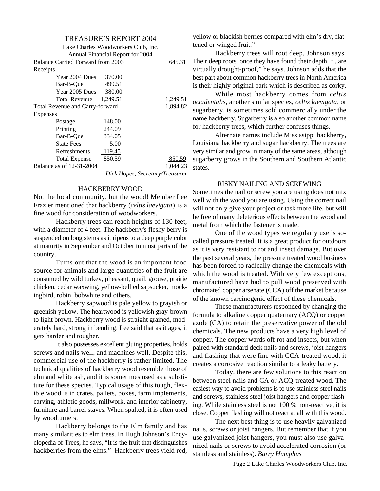#### TREASURE'S REPORT 2004

|                                   | Lake Charles Woodworkers Club, Inc. |                                 |
|-----------------------------------|-------------------------------------|---------------------------------|
|                                   | Annual Financial Report for 2004    |                                 |
| Balance Carried Forward from 2003 |                                     | 645.31                          |
| Receipts                          |                                     |                                 |
| Year 2004 Dues 370.00             |                                     |                                 |
| Bar-B-Oue                         | 499.51                              |                                 |
| Year 2005 Dues 380.00             |                                     |                                 |
| <b>Total Revenue</b>              | 1,249.51                            | 1,249.51                        |
| Total Revenue and Carry-forward   |                                     | 1,894.82                        |
| Expenses                          |                                     |                                 |
| Postage                           | 148.00                              |                                 |
| Printing                          | 244.09                              |                                 |
| Bar-B-Oue                         | 334.05                              |                                 |
| <b>State Fees</b>                 | 5.00                                |                                 |
| <b>Refreshments</b>               | 119.45                              |                                 |
| <b>Total Expense</b>              | 850.59                              | 850.59                          |
| Balance as of 12-31-2004          |                                     | 1,044.23                        |
|                                   |                                     | Dick Hopes, Secretary/Treasurer |

#### HACKBERRY WOOD

Not the local community, but the wood! Member Lee Frazier mentioned that hackberry (*celtis laevigata*) is a fine wood for consideration of woodworkers.

Hackberry trees can reach heights of 130 feet, with a diameter of 4 feet. The hackberry's fleshy berry is suspended on long stems as it ripens to a deep purple color at maturity in September and October in most parts of the country.

Turns out that the wood is an important food source for animals and large quantities of the fruit are consumed by wild turkey, pheasant, quail, grouse, prairie chicken, cedar waxwing, yellow-bellied sapsucker, mockingbird, robin, bobwhite and others.

Hackberry sapwood is pale yellow to grayish or greenish yellow. The heartwood is yellowish gray-brown to light brown. Hackberry wood is straight grained, moderately hard, strong in bending. Lee said that as it ages, it gets harder and tougher.

It also possesses excellent gluing properties, holds screws and nails well, and machines well. Despite this, commercial use of the hackberry is rather limited. The technical qualities of hackberry wood resemble those of elm and white ash, and it is sometimes used as a substitute for these species. Typical usage of this tough, flexible wood is in crates, pallets, boxes, farm implements, carving, athletic goods, millwork, and interior cabinetry, furniture and barrel staves. When spalted, it is often used by woodturners.

Hackberry belongs to the Elm family and has many similarities to elm trees. In Hugh Johnson's Encyclopedia of Trees, he says, "It is the fruit that distinguishes hackberries from the elms." Hackberry trees yield red, yellow or blackish berries compared with elm's dry, flattened or winged fruit."

Hackberry trees will root deep, Johnson says. Their deep roots, once they have found their depth, "...are virtually drought-proof," he says. Johnson adds that the best part about common hackberry trees in North America is their highly original bark which is described as corky.

While most hackberry comes from *celtis occidentalis*, another similar species, *celtis laevigata*, or sugarberry, is sometimes sold commercially under the name hackberry. Sugarberry is also another common name for hackberry trees, which further confuses things.

Alternate names include Mississippi hackberry, Louisiana hackberry and sugar hackberry. The trees are very similar and grow in many of the same areas, although sugarberry grows in the Southern and Southern Atlantic states.

#### RISKY NAILING AND SCREWING

Sometimes the nail or screw you are using does not mix well with the wood you are using. Using the correct nail will not only give your project or task more life, but will be free of many deleterious effects between the wood and metal from which the fastener is made.

One of the wood types we regularly use is socalled pressure treated. It is a great product for outdoors as it is very resistant to rot and insect damage. But over the past several years, the pressure treated wood business has been forced to radically change the chemicals with which the wood is treated. With very few exceptions, manufactured have had to pull wood preserved with chromated copper arsenate (CCA) off the market because of the known carcinogenic effect of these chemicals.

These manufacturers responded by changing the formula to alkaline copper quaternary (ACQ) or copper azole (CA) to retain the preservative power of the old chemicals. The new products have a very high level of copper. The copper wards off rot and insects, but when paired with standard deck nails and screws, joist hangers and flashing that were fine with CCA-treated wood, it creates a corrosive reaction similar to a leaky battery.

Today, there are few solutions to this reaction between steel nails and CA or ACQ-treated wood. The easiest way to avoid problems is to use stainless steel nails and screws, stainless steel joist hangers and copper flashing. While stainless steel is not 100 % non-reactive, it is close. Copper flashing will not react at all with this wood.

The next best thing is to use heavily galvanized nails, screws or joist hangers. But remember that if you use galvanized joist hangers, you must also use galvanized nails or screws to avoid accelerated corrosion (or stainless and stainless). *Barry Humphus*